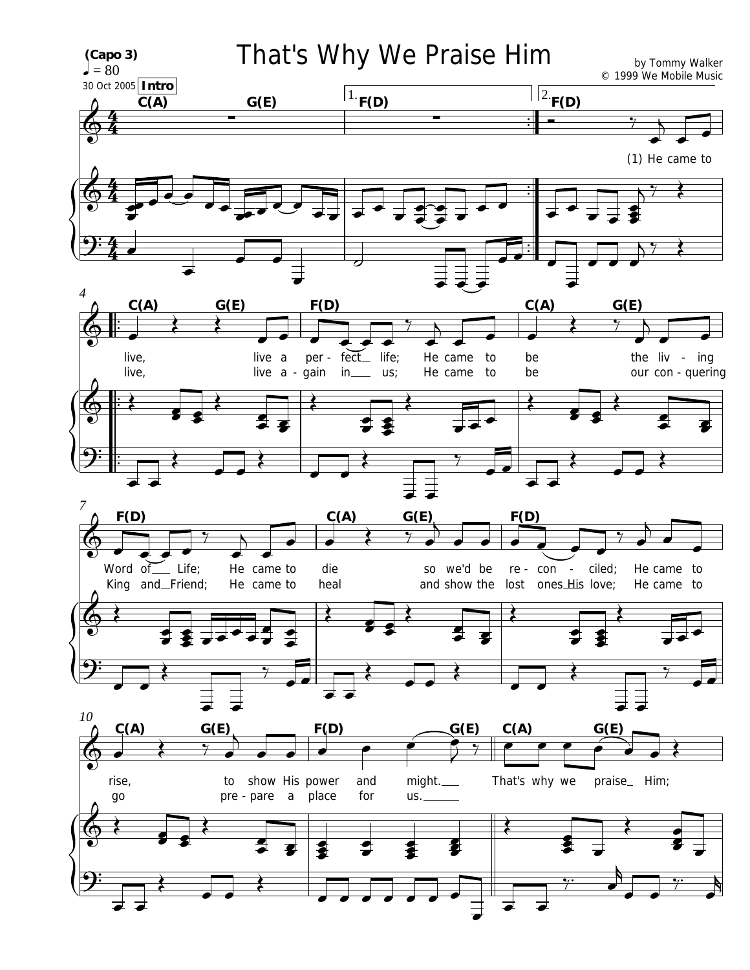